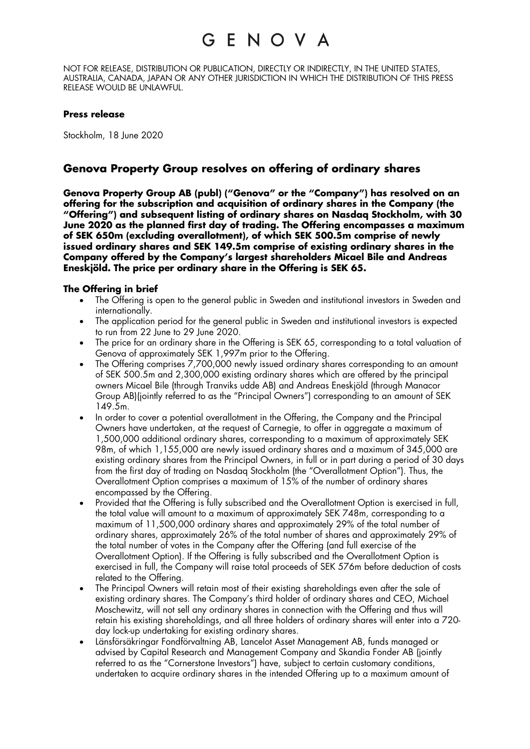NOT FOR RELEASE, DISTRIBUTION OR PUBLICATION, DIRECTLY OR INDIRECTLY, IN THE UNITED STATES, AUSTRALIA, CANADA, JAPAN OR ANY OTHER JURISDICTION IN WHICH THE DISTRIBUTION OF THIS PRESS RELEASE WOULD BE UNLAWFUL.

#### **Press release**

Stockholm, 18 June 2020

### **Genova Property Group resolves on offering of ordinary shares**

**Genova Property Group AB (publ) ("Genova" or the "Company") has resolved on an offering for the subscription and acquisition of ordinary shares in the Company (the "Offering") and subsequent listing of ordinary shares on Nasdaq Stockholm, with 30 June 2020 as the planned first day of trading. The Offering encompasses a maximum of SEK 650m (excluding overallotment), of which SEK 500.5m comprise of newly issued ordinary shares and SEK 149.5m comprise of existing ordinary shares in the Company offered by the Company's largest shareholders Micael Bile and Andreas Eneskjöld. The price per ordinary share in the Offering is SEK 65.**

### **The Offering in brief**

- The Offering is open to the general public in Sweden and institutional investors in Sweden and internationally.
- The application period for the general public in Sweden and institutional investors is expected to run from 22 June to 29 June 2020.
- The price for an ordinary share in the Offering is SEK 65, corresponding to a total valuation of Genova of approximately SEK 1,997m prior to the Offering.
- The Offering comprises 7,700,000 newly issued ordinary shares corresponding to an amount of SEK 500.5m and 2,300,000 existing ordinary shares which are offered by the principal owners Micael Bile (through Tranviks udde AB) and Andreas Eneskjöld (through Manacor Group AB)(jointly referred to as the "Principal Owners") corresponding to an amount of SEK 149.5m.
- In order to cover a potential overallotment in the Offering, the Company and the Principal Owners have undertaken, at the request of Carnegie, to offer in aggregate a maximum of 1,500,000 additional ordinary shares, corresponding to a maximum of approximately SEK 98m, of which 1,155,000 are newly issued ordinary shares and a maximum of 345,000 are existing ordinary shares from the Principal Owners, in full or in part during a period of 30 days from the first day of trading on Nasdaq Stockholm (the "Overallotment Option"). Thus, the Overallotment Option comprises a maximum of 15% of the number of ordinary shares encompassed by the Offering.
- Provided that the Offering is fully subscribed and the Overallotment Option is exercised in full, the total value will amount to a maximum of approximately SEK 748m, corresponding to a maximum of 11,500,000 ordinary shares and approximately 29% of the total number of ordinary shares, approximately 26% of the total number of shares and approximately 29% of the total number of votes in the Company after the Offering (and full exercise of the Overallotment Option). If the Offering is fully subscribed and the Overallotment Option is exercised in full, the Company will raise total proceeds of SEK 576m before deduction of costs related to the Offering.
- The Principal Owners will retain most of their existing shareholdings even after the sale of existing ordinary shares. The Company's third holder of ordinary shares and CEO, Michael Moschewitz, will not sell any ordinary shares in connection with the Offering and thus will retain his existing shareholdings, and all three holders of ordinary shares will enter into a 720 day lock-up undertaking for existing ordinary shares.
- Länsförsäkringar Fondförvaltning AB, Lancelot Asset Management AB, funds managed or advised by Capital Research and Management Company and Skandia Fonder AB (jointly referred to as the "Cornerstone Investors") have, subject to certain customary conditions, undertaken to acquire ordinary shares in the intended Offering up to a maximum amount of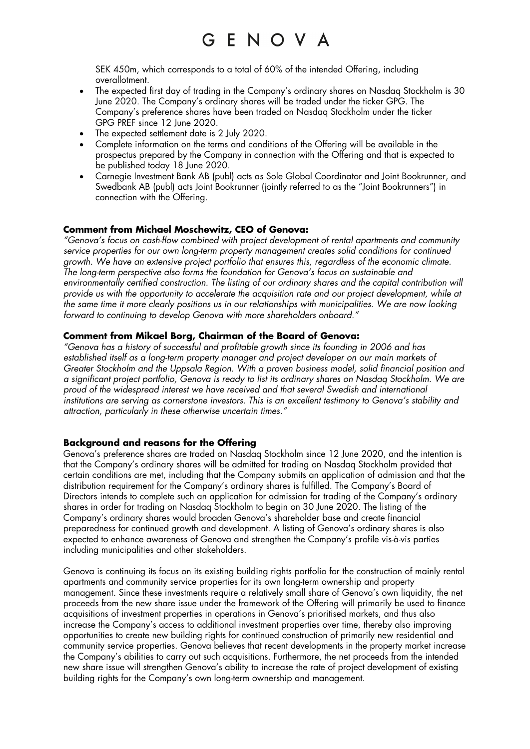SEK 450m, which corresponds to a total of 60% of the intended Offering, including overallotment.

- The expected first day of trading in the Company's ordinary shares on Nasdaq Stockholm is 30 June 2020. The Company's ordinary shares will be traded under the ticker GPG. The Company's preference shares have been traded on Nasdaq Stockholm under the ticker GPG PREF since 12 June 2020.
- The expected settlement date is 2 July 2020.
- Complete information on the terms and conditions of the Offering will be available in the prospectus prepared by the Company in connection with the Offering and that is expected to be published today 18 June 2020.
- Carnegie Investment Bank AB (publ) acts as Sole Global Coordinator and Joint Bookrunner, and Swedbank AB (publ) acts Joint Bookrunner (jointly referred to as the "Joint Bookrunners") in connection with the Offering.

### **Comment from Michael Moschewitz, CEO of Genova:**

*"Genova's focus on cash-flow combined with project development of rental apartments and community service properties for our own long-term property management creates solid conditions for continued growth. We have an extensive project portfolio that ensures this, regardless of the economic climate. The long-term perspective also forms the foundation for Genova's focus on sustainable and environmentally certified construction. The listing of our ordinary shares and the capital contribution will provide us with the opportunity to accelerate the acquisition rate and our project development, while at the same time it more clearly positions us in our relationships with municipalities. We are now looking forward to continuing to develop Genova with more shareholders onboard."*

### **Comment from Mikael Borg, Chairman of the Board of Genova:**

*"Genova has a history of successful and profitable growth since its founding in 2006 and has established itself as a long-term property manager and project developer on our main markets of Greater Stockholm and the Uppsala Region. With a proven business model, solid financial position and a significant project portfolio, Genova is ready to list its ordinary shares on Nasdaq Stockholm. We are proud of the widespread interest we have received and that several Swedish and international institutions are serving as cornerstone investors. This is an excellent testimony to Genova's stability and attraction, particularly in these otherwise uncertain times."*

### **Background and reasons for the Offering**

Genova's preference shares are traded on Nasdaq Stockholm since 12 June 2020, and the intention is that the Company's ordinary shares will be admitted for trading on Nasdaq Stockholm provided that certain conditions are met, including that the Company submits an application of admission and that the distribution requirement for the Company's ordinary shares is fulfilled. The Company's Board of Directors intends to complete such an application for admission for trading of the Company's ordinary shares in order for trading on Nasdaq Stockholm to begin on 30 June 2020. The listing of the Company's ordinary shares would broaden Genova's shareholder base and create financial preparedness for continued growth and development. A listing of Genova's ordinary shares is also expected to enhance awareness of Genova and strengthen the Company's profile vis-à-vis parties including municipalities and other stakeholders.

Genova is continuing its focus on its existing building rights portfolio for the construction of mainly rental apartments and community service properties for its own long-term ownership and property management. Since these investments require a relatively small share of Genova's own liquidity, the net proceeds from the new share issue under the framework of the Offering will primarily be used to finance acquisitions of investment properties in operations in Genova's prioritised markets, and thus also increase the Company's access to additional investment properties over time, thereby also improving opportunities to create new building rights for continued construction of primarily new residential and community service properties. Genova believes that recent developments in the property market increase the Company's abilities to carry out such acquisitions. Furthermore, the net proceeds from the intended new share issue will strengthen Genova's ability to increase the rate of project development of existing building rights for the Company's own long-term ownership and management.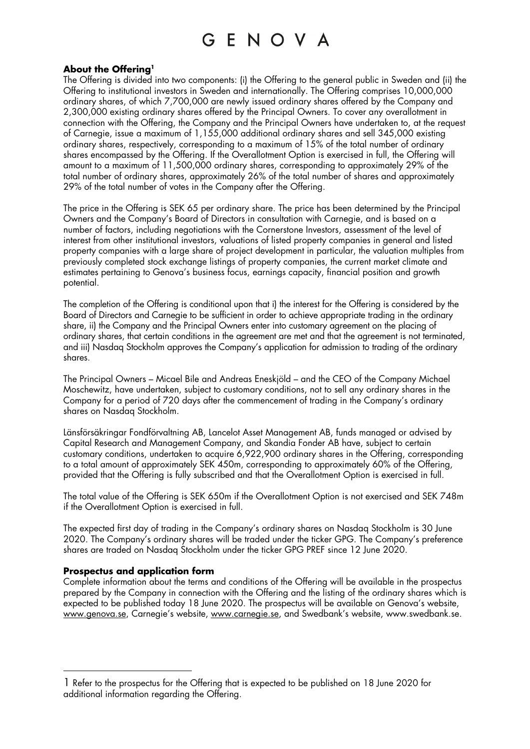### **About the Offering1**

The Offering is divided into two components: (i) the Offering to the general public in Sweden and (ii) the Offering to institutional investors in Sweden and internationally. The Offering comprises 10,000,000 ordinary shares, of which 7,700,000 are newly issued ordinary shares offered by the Company and 2,300,000 existing ordinary shares offered by the Principal Owners. To cover any overallotment in connection with the Offering, the Company and the Principal Owners have undertaken to, at the request of Carnegie, issue a maximum of 1,155,000 additional ordinary shares and sell 345,000 existing ordinary shares, respectively, corresponding to a maximum of 15% of the total number of ordinary shares encompassed by the Offering. If the Overallotment Option is exercised in full, the Offering will amount to a maximum of 11,500,000 ordinary shares, corresponding to approximately 29% of the total number of ordinary shares, approximately 26% of the total number of shares and approximately 29% of the total number of votes in the Company after the Offering.

The price in the Offering is SEK 65 per ordinary share. The price has been determined by the Principal Owners and the Company's Board of Directors in consultation with Carnegie, and is based on a number of factors, including negotiations with the Cornerstone Investors, assessment of the level of interest from other institutional investors, valuations of listed property companies in general and listed property companies with a large share of project development in particular, the valuation multiples from previously completed stock exchange listings of property companies, the current market climate and estimates pertaining to Genova's business focus, earnings capacity, financial position and growth potential.

The completion of the Offering is conditional upon that i) the interest for the Offering is considered by the Board of Directors and Carnegie to be sufficient in order to achieve appropriate trading in the ordinary share, ii) the Company and the Principal Owners enter into customary agreement on the placing of ordinary shares, that certain conditions in the agreement are met and that the agreement is not terminated, and iii) Nasdaq Stockholm approves the Company's application for admission to trading of the ordinary shares.

The Principal Owners – Micael Bile and Andreas Eneskjöld – and the CEO of the Company Michael Moschewitz, have undertaken, subject to customary conditions, not to sell any ordinary shares in the Company for a period of 720 days after the commencement of trading in the Company's ordinary shares on Nasdaq Stockholm.

Länsförsäkringar Fondförvaltning AB, Lancelot Asset Management AB, funds managed or advised by Capital Research and Management Company, and Skandia Fonder AB have, subject to certain customary conditions, undertaken to acquire 6,922,900 ordinary shares in the Offering, corresponding to a total amount of approximately SEK 450m, corresponding to approximately 60% of the Offering, provided that the Offering is fully subscribed and that the Overallotment Option is exercised in full.

The total value of the Offering is SEK 650m if the Overallotment Option is not exercised and SEK 748m if the Overallotment Option is exercised in full.

The expected first day of trading in the Company's ordinary shares on Nasdaq Stockholm is 30 June 2020. The Company's ordinary shares will be traded under the ticker GPG. The Company's preference shares are traded on Nasdaq Stockholm under the ticker GPG PREF since 12 June 2020.

### **Prospectus and application form**

Complete information about the terms and conditions of the Offering will be available in the prospectus prepared by the Company in connection with the Offering and the listing of the ordinary shares which is expected to be published today 18 June 2020. The prospectus will be available on Genova's website, www.genova.se, Carnegie's website, www.carnegie.se, and Swedbank's website, www.swedbank.se.

<sup>1</sup> Refer to the prospectus for the Offering that is expected to be published on 18 June 2020 for additional information regarding the Offering.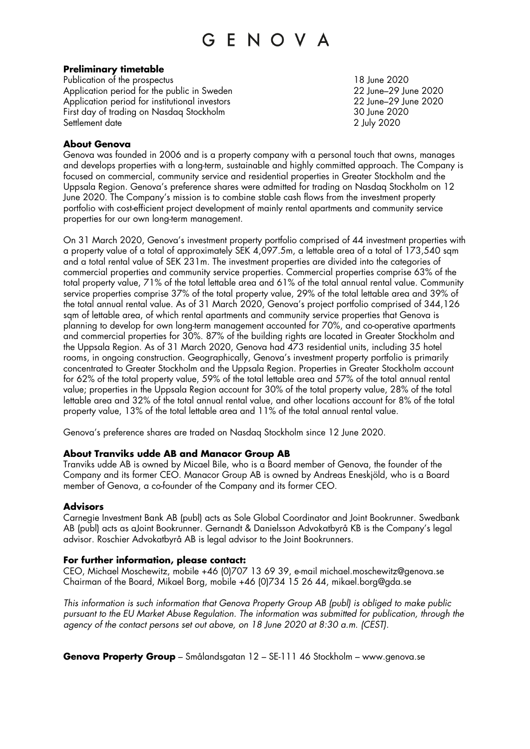### **Preliminary timetable**

Publication of the prospectus 18 June 2020 Application period for the public in Sweden 22 June–29 June–29 June 2020 Application period for institutional investors 22 June–29 June 2020 First day of trading on Nasdaq Stockholm 30 June 2020 Settlement date 2 July 2020

### **About Genova**

Genova was founded in 2006 and is a property company with a personal touch that owns, manages and develops properties with a long-term, sustainable and highly committed approach. The Company is focused on commercial, community service and residential properties in Greater Stockholm and the Uppsala Region. Genova's preference shares were admitted for trading on Nasdaq Stockholm on 12 June 2020. The Company's mission is to combine stable cash flows from the investment property portfolio with cost-efficient project development of mainly rental apartments and community service properties for our own long-term management.

On 31 March 2020, Genova's investment property portfolio comprised of 44 investment properties with a property value of a total of approximately SEK 4,097.5m, a lettable area of a total of 173,540 sqm and a total rental value of SEK 231m. The investment properties are divided into the categories of commercial properties and community service properties. Commercial properties comprise 63% of the total property value, 71% of the total lettable area and 61% of the total annual rental value. Community service properties comprise 37% of the total property value, 29% of the total lettable area and 39% of the total annual rental value. As of 31 March 2020, Genova's project portfolio comprised of 344,126 sqm of lettable area, of which rental apartments and community service properties that Genova is planning to develop for own long-term management accounted for 70%, and co-operative apartments and commercial properties for 30%. 87% of the building rights are located in Greater Stockholm and the Uppsala Region. As of 31 March 2020, Genova had 473 residential units, including 35 hotel rooms, in ongoing construction. Geographically, Genova's investment property portfolio is primarily concentrated to Greater Stockholm and the Uppsala Region. Properties in Greater Stockholm account for 62% of the total property value, 59% of the total lettable area and 57% of the total annual rental value; properties in the Uppsala Region account for 30% of the total property value, 28% of the total lettable area and 32% of the total annual rental value, and other locations account for 8% of the total property value, 13% of the total lettable area and 11% of the total annual rental value.

Genova's preference shares are traded on Nasdaq Stockholm since 12 June 2020.

### **About Tranviks udde AB and Manacor Group AB**

Tranviks udde AB is owned by Micael Bile, who is a Board member of Genova, the founder of the Company and its former CEO. Manacor Group AB is owned by Andreas Eneskjöld, who is a Board member of Genova, a co-founder of the Company and its former CEO.

### **Advisors**

Carnegie Investment Bank AB (publ) acts as Sole Global Coordinator and Joint Bookrunner. Swedbank AB (publ) acts as aJoint Bookrunner. Gernandt & Danielsson Advokatbyrå KB is the Company's legal advisor. Roschier Advokatbyrå AB is legal advisor to the Joint Bookrunners.

### **For further information, please contact:**

CEO, Michael Moschewitz, mobile +46 (0)707 13 69 39, e-mail michael.moschewitz@genova.se Chairman of the Board, Mikael Borg, mobile +46 (0)734 15 26 44, mikael.borg@gda.se

*This information is such information that Genova Property Group AB (publ) is obliged to make public pursuant to the EU Market Abuse Regulation. The information was submitted for publication, through the agency of the contact persons set out above, on 18 June 2020 at 8:30 a.m. (CEST).*

**Genova Property Group** – Smålandsgatan 12 – SE-111 46 Stockholm – www.genova.se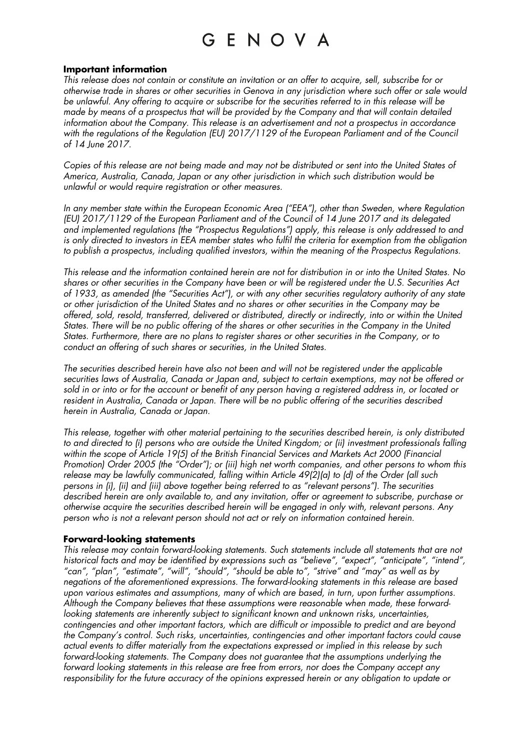#### **Important information**

*This release does not contain or constitute an invitation or an offer to acquire, sell, subscribe for or otherwise trade in shares or other securities in Genova in any jurisdiction where such offer or sale would be unlawful. Any offering to acquire or subscribe for the securities referred to in this release will be made by means of a prospectus that will be provided by the Company and that will contain detailed information about the Company. This release is an advertisement and not a prospectus in accordance with the regulations of the Regulation (EU) 2017/1129 of the European Parliament and of the Council of 14 June 2017.*

*Copies of this release are not being made and may not be distributed or sent into the United States of America, Australia, Canada, Japan or any other jurisdiction in which such distribution would be unlawful or would require registration or other measures.*

*In any member state within the European Economic Area ("EEA"), other than Sweden, where Regulation (EU) 2017/1129 of the European Parliament and of the Council of 14 June 2017 and its delegated and implemented regulations (the "Prospectus Regulations") apply, this release is only addressed to and*  is only directed to investors in EEA member states who fulfil the criteria for exemption from the obligation *to publish a prospectus, including qualified investors, within the meaning of the Prospectus Regulations.*

*This release and the information contained herein are not for distribution in or into the United States. No shares or other securities in the Company have been or will be registered under the U.S. Securities Act of 1933, as amended (the "Securities Act"), or with any other securities regulatory authority of any state or other jurisdiction of the United States and no shares or other securities in the Company may be offered, sold, resold, transferred, delivered or distributed, directly or indirectly, into or within the United States. There will be no public offering of the shares or other securities in the Company in the United States. Furthermore, there are no plans to register shares or other securities in the Company, or to conduct an offering of such shares or securities, in the United States.*

*The securities described herein have also not been and will not be registered under the applicable securities laws of Australia, Canada or Japan and, subject to certain exemptions, may not be offered or sold in or into or for the account or benefit of any person having a registered address in, or located or resident in Australia, Canada or Japan. There will be no public offering of the securities described herein in Australia, Canada or Japan.*

*This release, together with other material pertaining to the securities described herein, is only distributed to and directed to (i) persons who are outside the United Kingdom; or (ii) investment professionals falling within the scope of Article 19(5) of the British Financial Services and Markets Act 2000 (Financial Promotion) Order 2005 (the "Order"); or (iii) high net worth companies, and other persons to whom this release may be lawfully communicated, falling within Article 49(2)(a) to (d) of the Order (all such persons in (i), (ii) and (iii) above together being referred to as "relevant persons"). The securities described herein are only available to, and any invitation, offer or agreement to subscribe, purchase or otherwise acquire the securities described herein will be engaged in only with, relevant persons. Any person who is not a relevant person should not act or rely on information contained herein.*

### **Forward-looking statements**

*This release may contain forward-looking statements. Such statements include all statements that are not historical facts and may be identified by expressions such as "believe", "expect", "anticipate", "intend", "can", "plan", "estimate", "will", "should", "should be able to", "strive" and "may" as well as by negations of the aforementioned expressions. The forward-looking statements in this release are based upon various estimates and assumptions, many of which are based, in turn, upon further assumptions. Although the Company believes that these assumptions were reasonable when made, these forwardlooking statements are inherently subject to significant known and unknown risks, uncertainties, contingencies and other important factors, which are difficult or impossible to predict and are beyond the Company's control. Such risks, uncertainties, contingencies and other important factors could cause actual events to differ materially from the expectations expressed or implied in this release by such forward-looking statements. The Company does not guarantee that the assumptions underlying the forward looking statements in this release are free from errors, nor does the Company accept any*  responsibility for the future accuracy of the opinions expressed herein or any obligation to update or